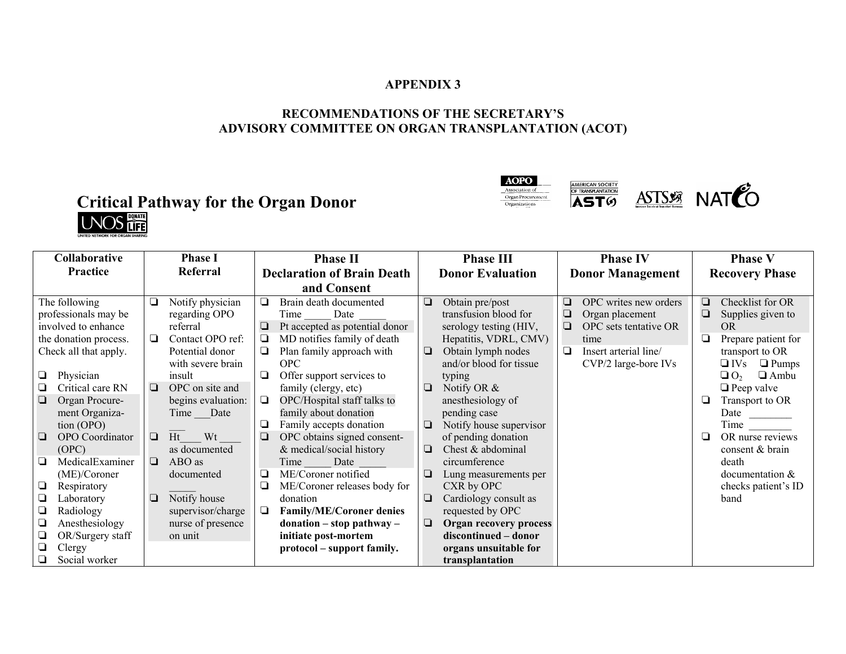## **APPENDIX 3**

# **RECOMMENDATIONS OF THE SECRETARY'S ADVISORY COMMITTEE ON ORGAN TRANSPLANTATION (ACOT)**

# **Critical Pathway for the Organ Donor**<br> **UNOS**





| Collaborative                                                                                                                                                                                                                                                                                                                                                                                                                                        | <b>Phase I</b>                                                                                                                                                                                                                                                                                                                                 | <b>Phase II</b>                                                                                                                                                                                                                                                                                                                                                                                                                                                                                                                                                                                                                                                        | <b>Phase III</b>                                                                                                                                                                                                                                                                                                                                                                                                                                                                                                                                     | <b>Phase IV</b>                                                                                                                                          | <b>Phase V</b>                                                                                                                                                                                                                                                                                                                                 |
|------------------------------------------------------------------------------------------------------------------------------------------------------------------------------------------------------------------------------------------------------------------------------------------------------------------------------------------------------------------------------------------------------------------------------------------------------|------------------------------------------------------------------------------------------------------------------------------------------------------------------------------------------------------------------------------------------------------------------------------------------------------------------------------------------------|------------------------------------------------------------------------------------------------------------------------------------------------------------------------------------------------------------------------------------------------------------------------------------------------------------------------------------------------------------------------------------------------------------------------------------------------------------------------------------------------------------------------------------------------------------------------------------------------------------------------------------------------------------------------|------------------------------------------------------------------------------------------------------------------------------------------------------------------------------------------------------------------------------------------------------------------------------------------------------------------------------------------------------------------------------------------------------------------------------------------------------------------------------------------------------------------------------------------------------|----------------------------------------------------------------------------------------------------------------------------------------------------------|------------------------------------------------------------------------------------------------------------------------------------------------------------------------------------------------------------------------------------------------------------------------------------------------------------------------------------------------|
| Practice                                                                                                                                                                                                                                                                                                                                                                                                                                             | Referral                                                                                                                                                                                                                                                                                                                                       | <b>Declaration of Brain Death</b>                                                                                                                                                                                                                                                                                                                                                                                                                                                                                                                                                                                                                                      | <b>Donor Evaluation</b>                                                                                                                                                                                                                                                                                                                                                                                                                                                                                                                              | <b>Donor Management</b>                                                                                                                                  | <b>Recovery Phase</b>                                                                                                                                                                                                                                                                                                                          |
|                                                                                                                                                                                                                                                                                                                                                                                                                                                      |                                                                                                                                                                                                                                                                                                                                                | and Consent                                                                                                                                                                                                                                                                                                                                                                                                                                                                                                                                                                                                                                                            |                                                                                                                                                                                                                                                                                                                                                                                                                                                                                                                                                      |                                                                                                                                                          |                                                                                                                                                                                                                                                                                                                                                |
| The following<br>professionals may be<br>involved to enhance<br>the donation process.<br>Check all that apply.<br>Physician<br>O<br>Critical care RN<br>Organ Procure-<br>$\Box$<br>ment Organiza-<br>tion (OPO)<br><b>OPO</b> Coordinator<br>❏<br>(OPC)<br>MedicalExaminer<br>O.<br>(ME)/Coroner<br>❏<br>Respiratory<br>Q<br>Laboratory<br>$\Box$<br>Radiology<br>◘<br>Anesthesiology<br>Q<br>OR/Surgery staff<br>◘<br>Clergy<br>Social worker<br>⊔ | Notify physician<br>❏<br>regarding OPO<br>referral<br>Contact OPO ref:<br>❏<br>Potential donor<br>with severe brain<br>insult<br>OPC on site and<br>❏<br>begins evaluation:<br>Date<br>Time<br>Ht<br>Wt<br>$\Box$<br>as documented<br>$\Box$<br>ABO as<br>documented<br>Notify house<br>❏<br>supervisor/charge<br>nurse of presence<br>on unit | Brain death documented<br>❏<br>Date<br>Time<br>Pt accepted as potential donor<br>❏<br>MD notifies family of death<br>❏<br>Plan family approach with<br>$\Box$<br><b>OPC</b><br>Offer support services to<br>❏<br>family (clergy, etc)<br>OPC/Hospital staff talks to<br>❏<br>family about donation<br>Family accepts donation<br>⊔<br>OPC obtains signed consent-<br>❏<br>& medical/social history<br>Date<br>Time<br>ME/Coroner notified<br>❏<br>ME/Coroner releases body for<br>❏<br>donation<br><b>Family/ME/Coroner denies</b><br>❏<br>$\mathbf{donation} - \mathbf{stop} \ \mathbf{pathway} - \mathbf{new}$<br>initiate post-mortem<br>protocol – support family. | $\Box$<br>Obtain pre/post<br>transfusion blood for<br>serology testing (HIV,<br>Hepatitis, VDRL, CMV)<br>$\Box$<br>Obtain lymph nodes<br>and/or blood for tissue<br>typing<br>Notify OR $&$<br>⊔<br>anesthesiology of<br>pending case<br>Notify house supervisor<br>⊔<br>of pending donation<br>Chest & abdominal<br>⊔<br>circumference<br>❏<br>Lung measurements per<br>CXR by OPC<br>Cardiology consult as<br>❏<br>requested by OPC<br>$\Box$<br><b>Organ recovery process</b><br>discontinued – donor<br>organs unsuitable for<br>transplantation | OPC writes new orders<br>❏<br>❏<br>Organ placement<br>OPC sets tentative OR<br>$\Box$<br>time<br>Insert arterial line/<br>$\Box$<br>CVP/2 large-bore IVs | Checklist for OR<br>$\Box$<br>Supplies given to<br>❏<br>OR.<br>❏<br>Prepare patient for<br>transport to OR<br>$\Box$ IVs<br>$\Box$ Pumps<br>$\Box$ O <sub>2</sub><br>$\Box$ Ambu<br>$\Box$ Peep valve<br>Transport to OR<br>❏<br>Date<br>OR nurse reviews<br>❏<br>consent & brain<br>death<br>documentation $&$<br>checks patient's ID<br>band |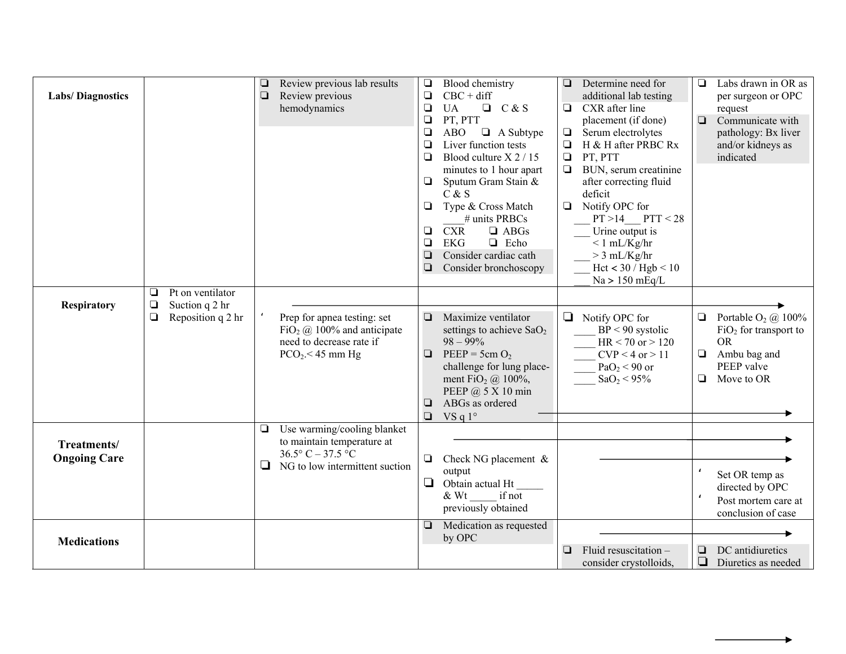| <b>Labs/Diagnostics</b>            |                                                                             | Review previous lab results<br>Review previous<br>$\Box$<br>hemodynamics                                                             | $\Box$<br>Blood chemistry<br>$CBC + diff$<br>❏<br>$\Box$<br>C & S<br><b>UA</b><br>$\Box$<br>PT, PTT<br>$\Box$<br>$\Box$ A Subtype<br><b>ABO</b><br>$\Box$<br>Liver function tests<br>$\Box$<br>Blood culture X 2 / 15<br>minutes to 1 hour apart<br>Sputum Gram Stain &<br>$\Box$<br>C & S<br>Type & Cross Match<br>$\Box$<br># units PRBCs<br><b>CXR</b><br>$\Box$ ABGs<br>$\Box$<br>$\Box$<br><b>EKG</b><br>$\Box$ Echo<br>Consider cardiac cath<br>$\Box$<br>Consider bronchoscopy<br>❏ | Determine need for<br>$\Box$<br>additional lab testing<br>CXR after line<br>$\Box$<br>placement (if done)<br>$\Box$<br>Serum electrolytes<br>$\Box$<br>H & H after PRBC Rx<br>PT, PTT<br>$\Box$<br>BUN, serum creatinine<br>$\Box$<br>after correcting fluid<br>deficit<br>Notify OPC for<br>$\Box$<br>$PT > 14$ $PTT < 28$<br>Urine output is<br>$< 1$ mL/Kg/hr<br>$>$ 3 mL/Kg/hr<br>Hct < 30 / Hgb < 10<br>Na > 150 mEq/L | Labs drawn in OR as<br>$\Box$<br>per surgeon or OPC<br>request<br>$\Box$<br>Communicate with<br>pathology: Bx liver<br>and/or kidneys as<br>indicated |
|------------------------------------|-----------------------------------------------------------------------------|--------------------------------------------------------------------------------------------------------------------------------------|--------------------------------------------------------------------------------------------------------------------------------------------------------------------------------------------------------------------------------------------------------------------------------------------------------------------------------------------------------------------------------------------------------------------------------------------------------------------------------------------|-----------------------------------------------------------------------------------------------------------------------------------------------------------------------------------------------------------------------------------------------------------------------------------------------------------------------------------------------------------------------------------------------------------------------------|-------------------------------------------------------------------------------------------------------------------------------------------------------|
| <b>Respiratory</b>                 | Pt on ventilator<br>❏<br>$\Box$<br>Suction q 2 hr<br>Reposition q 2 hr<br>❏ | Prep for apnea testing: set<br>FiO <sub>2</sub> $\omega$ 100% and anticipate<br>need to decrease rate if<br>$PCO2 < 45$ mm Hg        | $\Box$<br>Maximize ventilator<br>settings to achieve $SaO2$<br>$98 - 99\%$<br>$PEEP = 5cm O2$<br>$\Box$<br>challenge for lung place-<br>ment FiO <sub>2</sub> $@$ 100%,<br>PEEP @ 5 X 10 min<br>ABGs as ordered<br>$\Box$<br>VS q $1^\circ$<br>$\Box$                                                                                                                                                                                                                                      | $\Box$<br>Notify OPC for<br>$BP < 90$ systolic<br>$HR < 70$ or $> 120$<br>$CVP < 4$ or $> 11$<br>$PaO2 < 90$ or<br>SaO <sub>2</sub> < 95%                                                                                                                                                                                                                                                                                   | Portable $O_2$ ( $\hat{a}$ ) 100%<br>$\Box$<br>$FiO2$ for transport to<br><b>OR</b><br>$\Box$<br>Ambu bag and<br>PEEP valve<br>$\Box$<br>Move to OR   |
| Treatments/<br><b>Ongoing Care</b> |                                                                             | Use warming/cooling blanket<br>❏<br>to maintain temperature at<br>$36.5^{\circ}$ C - 37.5 °C<br>NG to low intermittent suction<br>u. | $\Box$<br>Check NG placement $\&$<br>output<br>$\Box$<br>Obtain actual Ht<br>& Wt<br>if not<br>previously obtained                                                                                                                                                                                                                                                                                                                                                                         |                                                                                                                                                                                                                                                                                                                                                                                                                             | Set OR temp as<br>directed by OPC<br>Post mortem care at<br>conclusion of case                                                                        |
| <b>Medications</b>                 |                                                                             |                                                                                                                                      | Medication as requested<br>❏<br>by OPC                                                                                                                                                                                                                                                                                                                                                                                                                                                     | $\Box$<br>Fluid resuscitation $-$<br>consider crystolloids,                                                                                                                                                                                                                                                                                                                                                                 | DC antidiuretics<br>$\Box$<br>$\Box$<br>Diuretics as needed                                                                                           |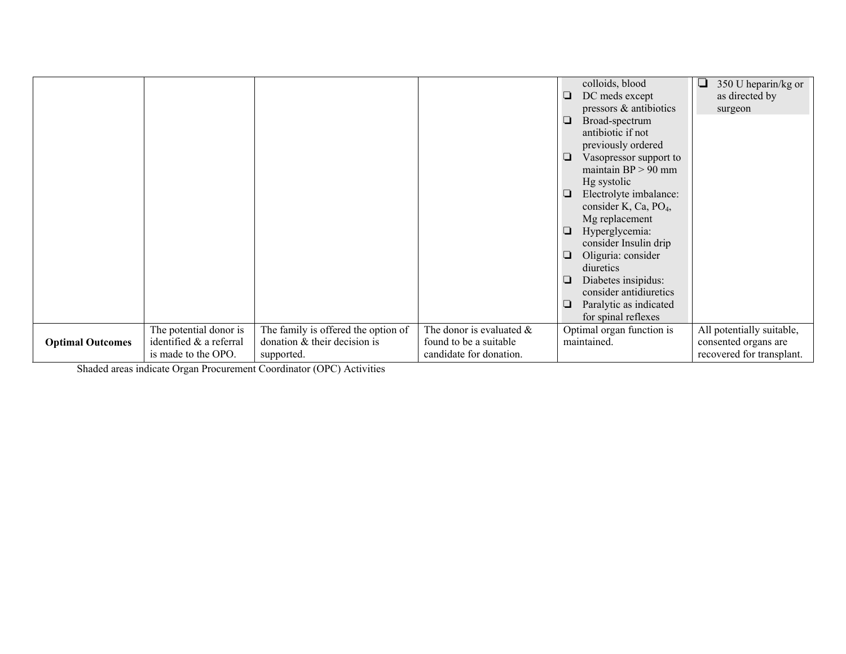|                         |                                                                          |                                                                                     |                                                                                  | colloids, blood<br>DC meds except<br>❏<br>pressors & antibiotics                  | 350 U heparin/kg or<br>┚<br>as directed by<br>surgeon                          |
|-------------------------|--------------------------------------------------------------------------|-------------------------------------------------------------------------------------|----------------------------------------------------------------------------------|-----------------------------------------------------------------------------------|--------------------------------------------------------------------------------|
|                         |                                                                          |                                                                                     |                                                                                  | Broad-spectrum<br>❏<br>antibiotic if not                                          |                                                                                |
|                         |                                                                          |                                                                                     |                                                                                  | previously ordered<br>Vasopressor support to<br>⊔<br>maintain $BP > 90$ mm        |                                                                                |
|                         |                                                                          |                                                                                     |                                                                                  | Hg systolic<br>Electrolyte imbalance:<br>❏<br>consider K, Ca, PO <sub>4</sub> ,   |                                                                                |
|                         |                                                                          |                                                                                     |                                                                                  | Mg replacement<br>Hyperglycemia:<br>⊔<br>consider Insulin drip                    |                                                                                |
|                         |                                                                          |                                                                                     |                                                                                  | Oliguria: consider<br>❏<br>diuretics                                              |                                                                                |
|                         |                                                                          |                                                                                     |                                                                                  | Diabetes insipidus:<br>⊔<br>consider antidiuretics<br>Paralytic as indicated<br>⊔ |                                                                                |
|                         |                                                                          |                                                                                     |                                                                                  | for spinal reflexes                                                               |                                                                                |
| <b>Optimal Outcomes</b> | The potential donor is<br>identified & a referral<br>is made to the OPO. | The family is offered the option of<br>donation $&$ their decision is<br>supported. | The donor is evaluated $\&$<br>found to be a suitable<br>candidate for donation. | Optimal organ function is<br>maintained.                                          | All potentially suitable,<br>consented organs are<br>recovered for transplant. |

Shaded areas indicate Organ Procurement Coordinator (OPC) Activities